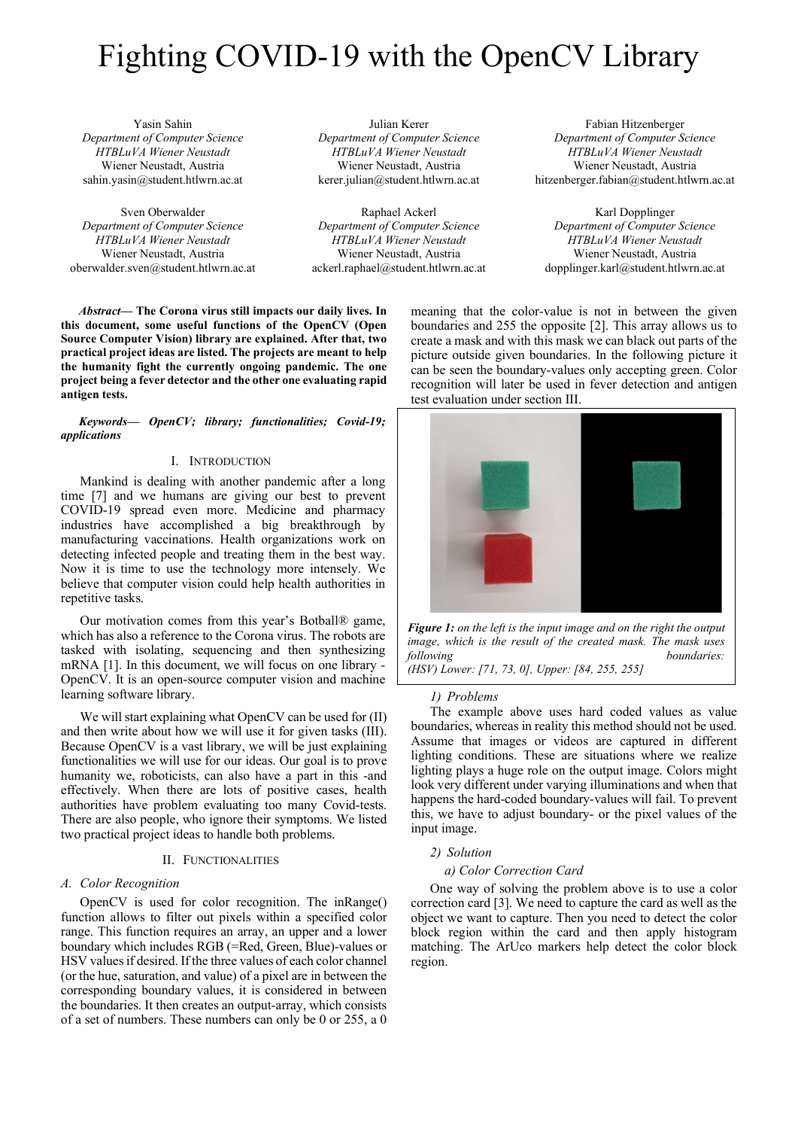# Fighting COVID-19 with the OpenCV Library

Yasin Sahin Department of Computer Science HTBLuVA Wiener Neustadt Wiener Neustadt, Austria sahin.yasin@student.htlwrn.ac.at

Sven Oberwalder Department of Computer Science HTBLuVA Wiener Neustadt Wiener Neustadt, Austria oberwalder.sven@student.htlwrn.ac.at

Julian Kerer Department of Computer Science HTBLuVA Wiener Neustadt Wiener Neustadt, Austria kerer.julian@student.htlwrn.ac.at

Raphael Ackerl Department of Computer Science HTBLuVA Wiener Neustadt Wiener Neustadt, Austria ackerl.raphael@student.htlwrn.ac.at

Fabian Hitzenberger Department of Computer Science HTBLuVA Wiener Neustadt Wiener Neustadt, Austria hitzenberger.fabian@student.htlwrn.ac.at

Karl Dopplinger Department of Computer Science HTBLuVA Wiener Neustadt Wiener Neustadt, Austria dopplinger.karl@student.htlwrn.ac.at

Abstract— The Corona virus still impacts our daily lives. In this document, some useful functions of the OpenCV (Open Source Computer Vision) library are explained. After that, two practical project ideas are listed. The projects are meant to help the humanity fight the currently ongoing pandemic. The one project being a fever detector and the other one evaluating rapid antigen tests.

Keywords— OpenCV; library; functionalities; Covid-19; applications

# I. INTRODUCTION

Mankind is dealing with another pandemic after a long time [7] and we humans are giving our best to prevent COVID-19 spread even more. Medicine and pharmacy industries have accomplished a big breakthrough by manufacturing vaccinations. Health organizations work on detecting infected people and treating them in the best way. Now it is time to use the technology more intensely. We believe that computer vision could help health authorities in repetitive tasks.

Our motivation comes from this year's Botball® game, which has also a reference to the Corona virus. The robots are tasked with isolating, sequencing and then synthesizing mRNA [1]. In this document, we will focus on one library - OpenCV. It is an open-source computer vision and machine learning software library.

We will start explaining what OpenCV can be used for (II) and then write about how we will use it for given tasks (III). Because OpenCV is a vast library, we will be just explaining functionalities we will use for our ideas. Our goal is to prove humanity we, roboticists, can also have a part in this -and effectively. When there are lots of positive cases, health authorities have problem evaluating too many Covid-tests. There are also people, who ignore their symptoms. We listed two practical project ideas to handle both problems.

#### II. FUNCTIONALITIES

#### A. Color Recognition

OpenCV is used for color recognition. The inRange() function allows to filter out pixels within a specified color range. This function requires an array, an upper and a lower boundary which includes RGB (=Red, Green, Blue)-values or HSV values if desired. If the three values of each color channel (or the hue, saturation, and value) of a pixel are in between the corresponding boundary values, it is considered in between the boundaries. It then creates an output-array, which consists of a set of numbers. These numbers can only be 0 or 255, a 0

meaning that the color-value is not in between the given boundaries and 255 the opposite [2]. This array allows us to create a mask and with this mask we can black out parts of the picture outside given boundaries. In the following picture it can be seen the boundary-values only accepting green. Color recognition will later be used in fever detection and antigen test evaluation under section III.



Figure 1: on the left is the input image and on the right the output image, which is the result of the created mask. The mask uses following boundaries: (HSV) Lower: [71, 73, 0], Upper: [84, 255, 255]

#### 1) Problems

The example above uses hard coded values as value boundaries, whereas in reality this method should not be used. Assume that images or videos are captured in different lighting conditions. These are situations where we realize lighting plays a huge role on the output image. Colors might look very different under varying illuminations and when that happens the hard-coded boundary-values will fail. To prevent this, we have to adjust boundary- or the pixel values of the input image.

#### 2) Solution

## a) Color Correction Card

One way of solving the problem above is to use a color correction card [3]. We need to capture the card as well as the object we want to capture. Then you need to detect the color block region within the card and then apply histogram matching. The ArUco markers help detect the color block region.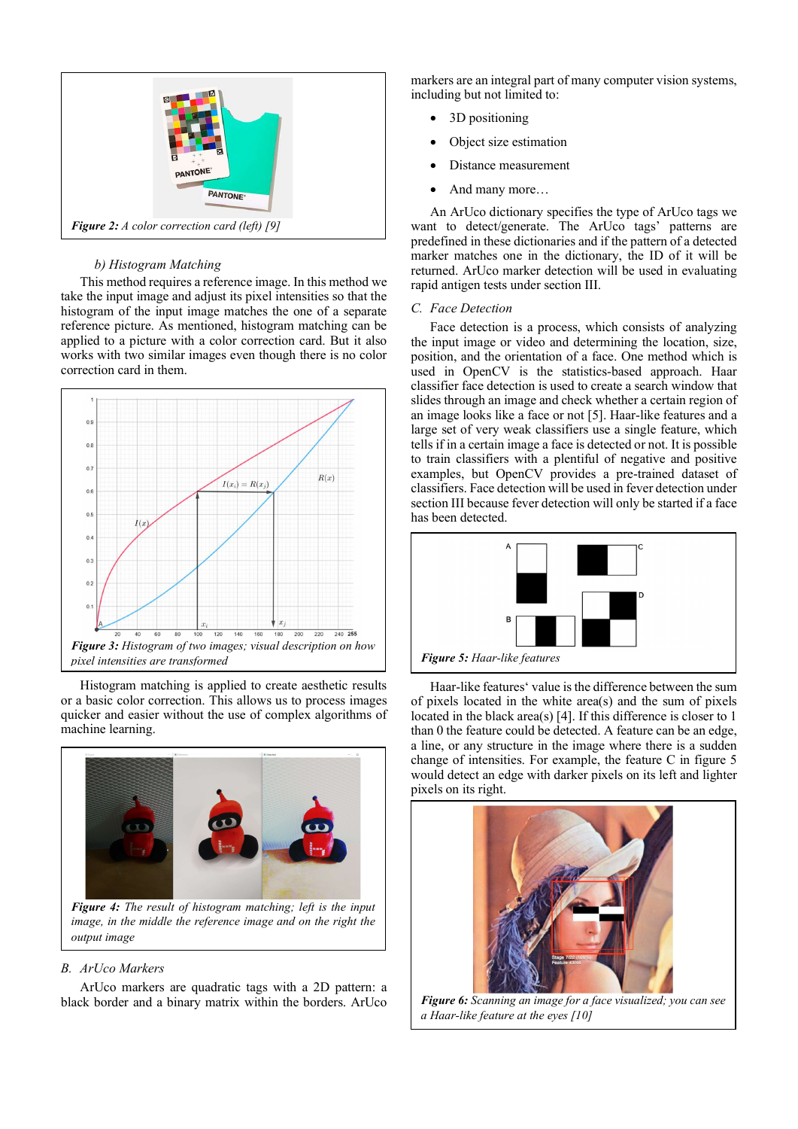

# b) Histogram Matching

This method requires a reference image. In this method we take the input image and adjust its pixel intensities so that the histogram of the input image matches the one of a separate reference picture. As mentioned, histogram matching can be applied to a picture with a color correction card. But it also works with two similar images even though there is no color correction card in them.



Histogram matching is applied to create aesthetic results or a basic color correction. This allows us to process images quicker and easier without the use of complex algorithms of machine learning.



image, in the middle the reference image and on the right the output image

# B. ArUco Markers

ArUco markers are quadratic tags with a 2D pattern: a black border and a binary matrix within the borders. ArUco markers are an integral part of many computer vision systems, including but not limited to:

- 3D positioning
- Object size estimation
- Distance measurement
- And many more…

An ArUco dictionary specifies the type of ArUco tags we want to detect/generate. The ArUco tags' patterns are predefined in these dictionaries and if the pattern of a detected marker matches one in the dictionary, the ID of it will be returned. ArUco marker detection will be used in evaluating rapid antigen tests under section III.

# C. Face Detection

Face detection is a process, which consists of analyzing the input image or video and determining the location, size, position, and the orientation of a face. One method which is used in OpenCV is the statistics-based approach. Haar classifier face detection is used to create a search window that slides through an image and check whether a certain region of an image looks like a face or not [5]. Haar-like features and a large set of very weak classifiers use a single feature, which tells if in a certain image a face is detected or not. It is possible to train classifiers with a plentiful of negative and positive examples, but OpenCV provides a pre-trained dataset of classifiers. Face detection will be used in fever detection under section III because fever detection will only be started if a face has been detected.



Haar-like features' value is the difference between the sum of pixels located in the white area(s) and the sum of pixels located in the black area(s) [4]. If this difference is closer to 1 than 0 the feature could be detected. A feature can be an edge, a line, or any structure in the image where there is a sudden change of intensities. For example, the feature C in figure 5 would detect an edge with darker pixels on its left and lighter pixels on its right.



Figure 6: Scanning an image for a face visualized; you can see a Haar-like feature at the eyes [10]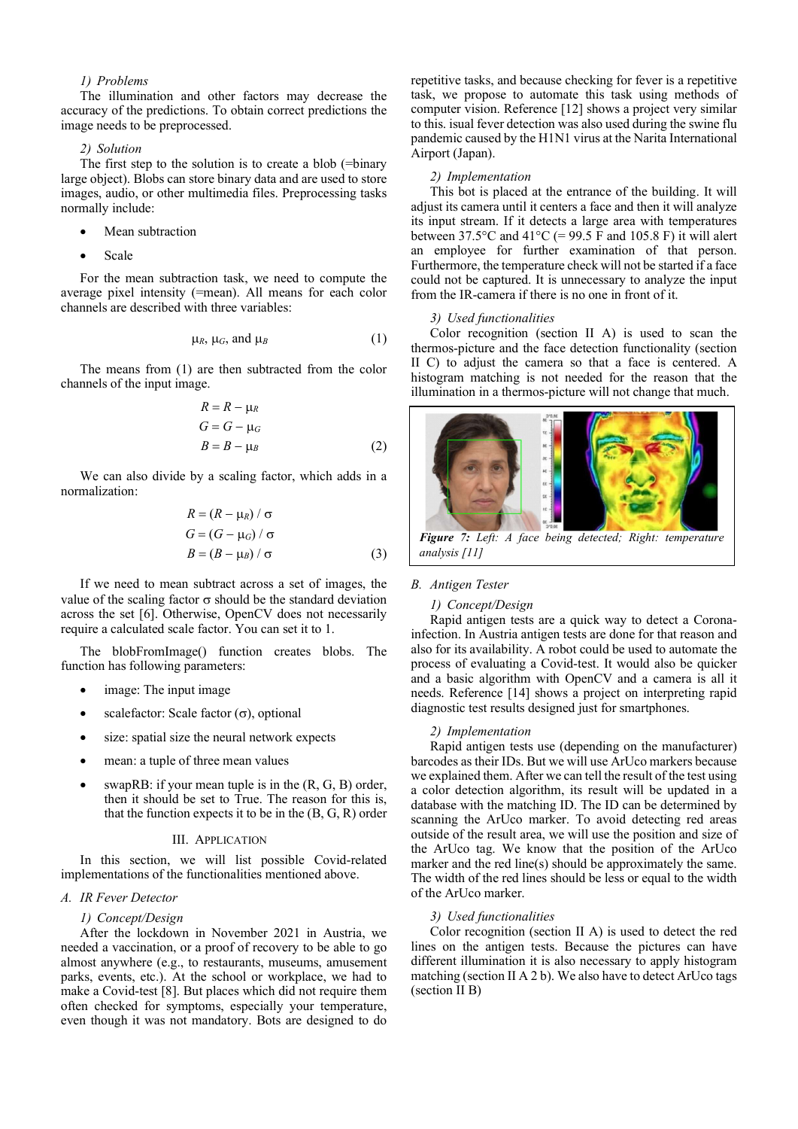# 1) Problems

The illumination and other factors may decrease the accuracy of the predictions. To obtain correct predictions the image needs to be preprocessed.

#### 2) Solution

The first step to the solution is to create a blob (=binary large object). Blobs can store binary data and are used to store images, audio, or other multimedia files. Preprocessing tasks normally include:

- Mean subtraction
- Scale

For the mean subtraction task, we need to compute the average pixel intensity (=mean). All means for each color channels are described with three variables:

$$
\mu_R, \mu_G, \text{ and } \mu_B \tag{1}
$$

The means from (1) are then subtracted from the color channels of the input image.

$$
R = R - \mu_R
$$
  
\n
$$
G = G - \mu_G
$$
  
\n
$$
B = B - \mu_B
$$
 (2)

We can also divide by a scaling factor, which adds in a normalization:

$$
R = (R - \mu_R) / \sigma
$$
  
\n
$$
G = (G - \mu_G) / \sigma
$$
  
\n
$$
B = (B - \mu_B) / \sigma
$$
 (3)

If we need to mean subtract across a set of images, the value of the scaling factor  $\sigma$  should be the standard deviation across the set [6]. Otherwise, OpenCV does not necessarily require a calculated scale factor. You can set it to 1.

The blobFromImage() function creates blobs. The function has following parameters:

- image: The input image
- scalefactor: Scale factor  $(\sigma)$ , optional
- size: spatial size the neural network expects
- mean: a tuple of three mean values
- swapRB: if your mean tuple is in the (R, G, B) order, then it should be set to True. The reason for this is, that the function expects it to be in the  $(B, G, R)$  order

#### III. APPLICATION

In this section, we will list possible Covid-related implementations of the functionalities mentioned above.

### A. IR Fever Detector

## 1) Concept/Design

After the lockdown in November 2021 in Austria, we needed a vaccination, or a proof of recovery to be able to go almost anywhere (e.g., to restaurants, museums, amusement parks, events, etc.). At the school or workplace, we had to make a Covid-test [8]. But places which did not require them often checked for symptoms, especially your temperature, even though it was not mandatory. Bots are designed to do

repetitive tasks, and because checking for fever is a repetitive task, we propose to automate this task using methods of computer vision. Reference [12] shows a project very similar to this. isual fever detection was also used during the swine flu pandemic caused by the H1N1 virus at the Narita International Airport (Japan).

#### 2) Implementation

This bot is placed at the entrance of the building. It will adjust its camera until it centers a face and then it will analyze its input stream. If it detects a large area with temperatures between  $37.5^{\circ}$ C and  $41^{\circ}$ C (= 99.5 F and 105.8 F) it will alert an employee for further examination of that person. Furthermore, the temperature check will not be started if a face could not be captured. It is unnecessary to analyze the input from the IR-camera if there is no one in front of it.

#### 3) Used functionalities

Color recognition (section II A) is used to scan the thermos-picture and the face detection functionality (section II C) to adjust the camera so that a face is centered. A histogram matching is not needed for the reason that the illumination in a thermos-picture will not change that much.



Figure 7: Left: A face being detected; Right: temperature analysis [11]

#### B. Antigen Tester

#### 1) Concept/Design

Rapid antigen tests are a quick way to detect a Coronainfection. In Austria antigen tests are done for that reason and also for its availability. A robot could be used to automate the process of evaluating a Covid-test. It would also be quicker and a basic algorithm with OpenCV and a camera is all it needs. Reference [14] shows a project on interpreting rapid diagnostic test results designed just for smartphones.

# 2) Implementation

Rapid antigen tests use (depending on the manufacturer) barcodes as their IDs. But we will use ArUco markers because we explained them. After we can tell the result of the test using a color detection algorithm, its result will be updated in a database with the matching ID. The ID can be determined by scanning the ArUco marker. To avoid detecting red areas outside of the result area, we will use the position and size of the ArUco tag. We know that the position of the ArUco marker and the red line(s) should be approximately the same. The width of the red lines should be less or equal to the width of the ArUco marker.

## 3) Used functionalities

Color recognition (section II A) is used to detect the red lines on the antigen tests. Because the pictures can have different illumination it is also necessary to apply histogram matching (section II A 2 b). We also have to detect ArUco tags (section II B)